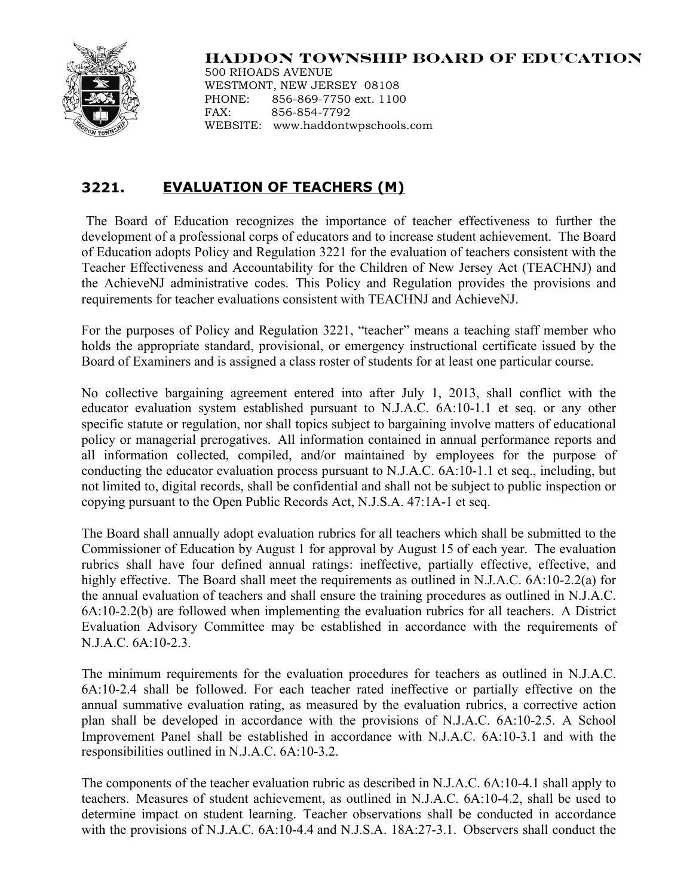

## **HADDON TOWNSHIP BOARD OF EDUCATION**

500 RHOADS AVENUE WESTMONT, NEW JERSEY 08108 PHONE: 856-869-7750 ext. 1100 FAX: 856-854-7792 WEBSITE: www.haddontwpschools.com

## **3221. EVALUATION OF TEACHERS (M)**

The Board of Education recognizes the importance of teacher effectiveness to further the development of a professional corps of educators and to increase student achievement. The Board of Education adopts Policy and Regulation 3221 for the evaluation of teachers consistent with the Teacher Effectiveness and Accountability for the Children of New Jersey Act (TEACHNJ) and the AchieveNJ administrative codes. This Policy and Regulation provides the provisions and requirements for teacher evaluations consistent with TEACHNJ and AchieveNJ.

For the purposes of Policy and Regulation 3221, "teacher" means a teaching staff member who holds the appropriate standard, provisional, or emergency instructional certificate issued by the Board of Examiners and is assigned a class roster of students for at least one particular course.

No collective bargaining agreement entered into after July 1, 2013, shall conflict with the educator evaluation system established pursuant to N.J.A.C. 6A:10-1.1 et seq. or any other specific statute or regulation, nor shall topics subject to bargaining involve matters of educational policy or managerial prerogatives. All information contained in annual performance reports and all information collected, compiled, and/or maintained by employees for the purpose of conducting the educator evaluation process pursuant to N.J.A.C. 6A:10-1.1 et seq., including, but not limited to, digital records, shall be confidential and shall not be subject to public inspection or copying pursuant to the Open Public Records Act, N.J.S.A. 47:1A-1 et seq.

The Board shall annually adopt evaluation rubrics for all teachers which shall be submitted to the Commissioner of Education by August 1 for approval by August 15 of each year. The evaluation rubrics shall have four defined annual ratings: ineffective, partially effective, effective, and highly effective. The Board shall meet the requirements as outlined in N.J.A.C. 6A:10-2.2(a) for the annual evaluation of teachers and shall ensure the training procedures as outlined in N.J.A.C. 6A:10-2.2(b) are followed when implementing the evaluation rubrics for all teachers. A District Evaluation Advisory Committee may be established in accordance with the requirements of N.J.A.C. 6A:10-2.3.

The minimum requirements for the evaluation procedures for teachers as outlined in N.J.A.C. 6A:10-2.4 shall be followed. For each teacher rated ineffective or partially effective on the annual summative evaluation rating, as measured by the evaluation rubrics, a corrective action plan shall be developed in accordance with the provisions of N.J.A.C. 6A:10-2.5. A School Improvement Panel shall be established in accordance with N.J.A.C. 6A:10-3.1 and with the responsibilities outlined in N.J.A.C. 6A:10-3.2.

The components of the teacher evaluation rubric as described in N.J.A.C. 6A:10-4.1 shall apply to teachers. Measures of student achievement, as outlined in N.J.A.C. 6A:10-4.2, shall be used to determine impact on student learning. Teacher observations shall be conducted in accordance with the provisions of N.J.A.C. 6A:10-4.4 and N.J.S.A. 18A:27-3.1. Observers shall conduct the